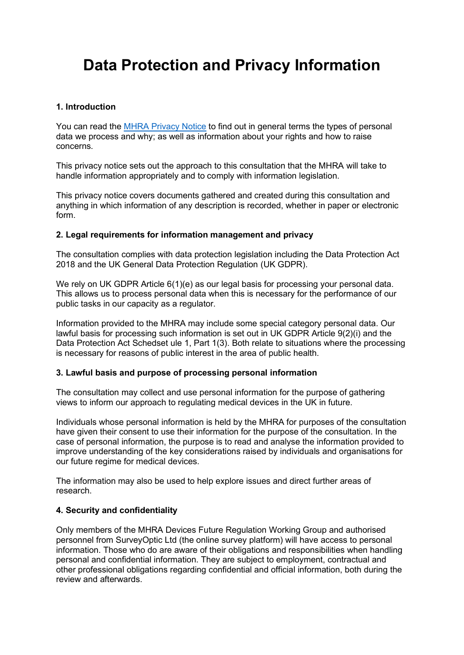# Data Protection and Privacy Information

#### 1. Introduction

You can read the MHRA Privacy Notice to find out in general terms the types of personal data we process and why; as well as information about your rights and how to raise concerns.

This privacy notice sets out the approach to this consultation that the MHRA will take to handle information appropriately and to comply with information legislation.

This privacy notice covers documents gathered and created during this consultation and anything in which information of any description is recorded, whether in paper or electronic form.

#### 2. Legal requirements for information management and privacy

The consultation complies with data protection legislation including the Data Protection Act 2018 and the UK General Data Protection Regulation (UK GDPR).

We rely on UK GDPR Article 6(1)(e) as our legal basis for processing your personal data. This allows us to process personal data when this is necessary for the performance of our public tasks in our capacity as a regulator.

Information provided to the MHRA may include some special category personal data. Our lawful basis for processing such information is set out in UK GDPR Article 9(2)(i) and the Data Protection Act Schedset ule 1, Part 1(3). Both relate to situations where the processing is necessary for reasons of public interest in the area of public health.

#### 3. Lawful basis and purpose of processing personal information

The consultation may collect and use personal information for the purpose of gathering views to inform our approach to regulating medical devices in the UK in future.

Individuals whose personal information is held by the MHRA for purposes of the consultation have given their consent to use their information for the purpose of the consultation. In the case of personal information, the purpose is to read and analyse the information provided to improve understanding of the key considerations raised by individuals and organisations for our future regime for medical devices.

The information may also be used to help explore issues and direct further areas of research.

#### 4. Security and confidentiality

Only members of the MHRA Devices Future Regulation Working Group and authorised personnel from SurveyOptic Ltd (the online survey platform) will have access to personal information. Those who do are aware of their obligations and responsibilities when handling personal and confidential information. They are subject to employment, contractual and other professional obligations regarding confidential and official information, both during the review and afterwards.